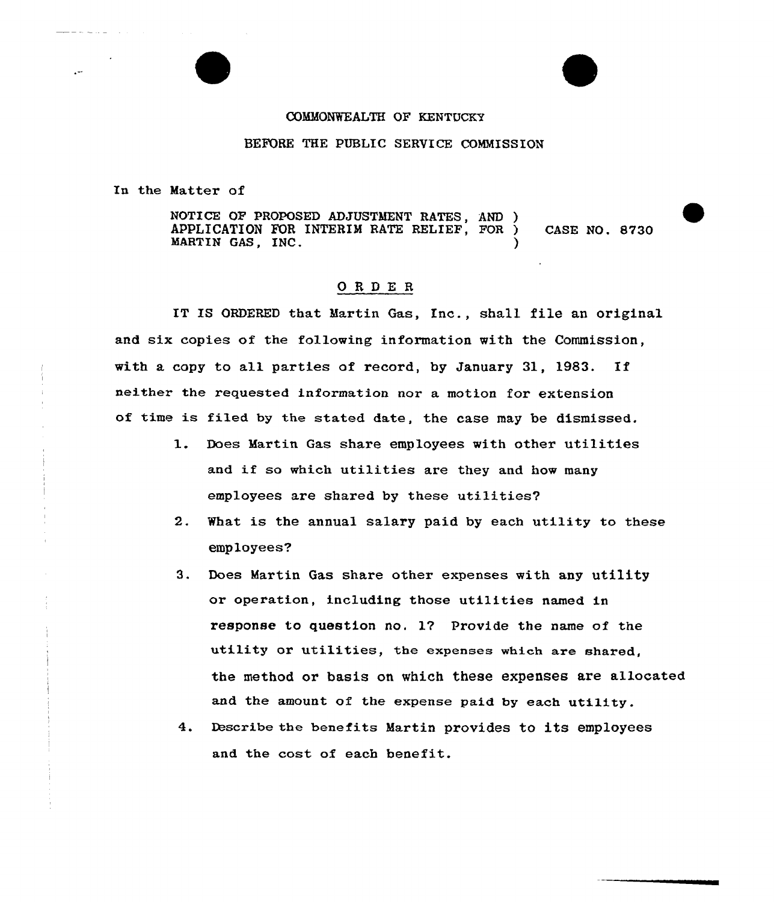## COMMONWEALTH QF KENTUCKY

## BEPORE THE PUBLIC SERVICE COMMISSION

In the Matter of

NOTICE OF PROPOSED ADJUSTMENT RATES, AND ) APPLICATION FOR INTERIM RATE RELIEF, FOR ) CASE NO. 8730 MARTIN GAS, INC.

## 0RDE <sup>R</sup>

IT IS ORDERED that Hartin Gas, Inc., shall file an original and six copies of the following information with the Commission, with a copy to all parties of record, by January 31, 1983. If neither the requested information nor a motion for extension of time is filed by the stated date, the case may be dismissed.

- l. Does Hartin Gas share employees with other utilities and if so which utilities are they and how many employees are shared by these utilities?
- 2. What is the annual salary paid by each utility to these employees?
- 3. Does Martin Gas share other expenses with any utility or operation, including those utilities named in response to question no. 17 Provide the name of the utility or utilities, the expenses which are shared, the method or basis on which these expenses are allocated and the amount of the expense paid by each utility.
- 4. Describe the benefits Martin provides to its employees and the cost of each benefit.